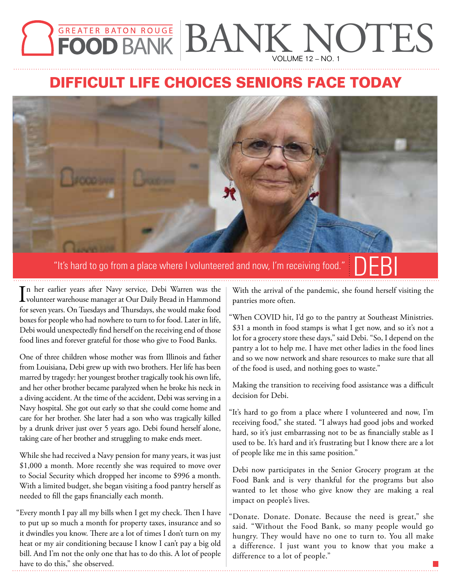## **GREATER BATON ROUGE BANK NOTES** VOLUME 12 – NO. 1

## **DIFFICULT LIFE CHOICES SENIORS FACE TODAY**



"It's hard to go from a place where I volunteered and now, I'm receiving food." "It's hard to go from a place where I volunteered and now, I'm receiving food."

In her earlier years after Navy service, Debi Warren was the volunteer warehouse manager at Our Daily Bread in Hammond n her earlier years after Navy service, Debi Warren was the for seven years. On Tuesdays and Thursdays, she would make food boxes for people who had nowhere to turn to for food. Later in life, Debi would unexpectedly find herself on the receiving end of those food lines and forever grateful for those who give to Food Banks.

One of three children whose mother was from Illinois and father from Louisiana, Debi grew up with two brothers. Her life has been marred by tragedy: her youngest brother tragically took his own life, and her other brother became paralyzed when he broke his neck in a diving accident. At the time of the accident, Debi was serving in a Navy hospital. She got out early so that she could come home and care for her brother. She later had a son who was tragically killed by a drunk driver just over 5 years ago. Debi found herself alone, taking care of her brother and struggling to make ends meet.

While she had received a Navy pension for many years, it was just \$1,000 a month. More recently she was required to move over to Social Security which dropped her income to \$996 a month. With a limited budget, she began visiting a food pantry herself as needed to fill the gaps financially each month.

"Every month I pay all my bills when I get my check. Then I have to put up so much a month for property taxes, insurance and so it dwindles you know. There are a lot of times I don't turn on my heat or my air conditioning because I know I can't pay a big old bill. And I'm not the only one that has to do this. A lot of people have to do this," she observed.

With the arrival of the pandemic, she found herself visiting the pantries more often.

"When COVID hit, I'd go to the pantry at Southeast Ministries. \$31 a month in food stamps is what I get now, and so it's not a lot for a grocery store these days," said Debi. "So, I depend on the pantry a lot to help me. I have met other ladies in the food lines and so we now network and share resources to make sure that all of the food is used, and nothing goes to waste."

Making the transition to receiving food assistance was a difficult decision for Debi.

"It's hard to go from a place where I volunteered and now, I'm receiving food," she stated. "I always had good jobs and worked hard, so it's just embarrassing not to be as financially stable as I used to be. It's hard and it's frustrating but I know there are a lot of people like me in this same position."

Debi now participates in the Senior Grocery program at the Food Bank and is very thankful for the programs but also wanted to let those who give know they are making a real impact on people's lives.

"Donate. Donate. Donate. Because the need is great," she said. "Without the Food Bank, so many people would go hungry. They would have no one to turn to. You all make a difference. I just want you to know that you make a difference to a lot of people."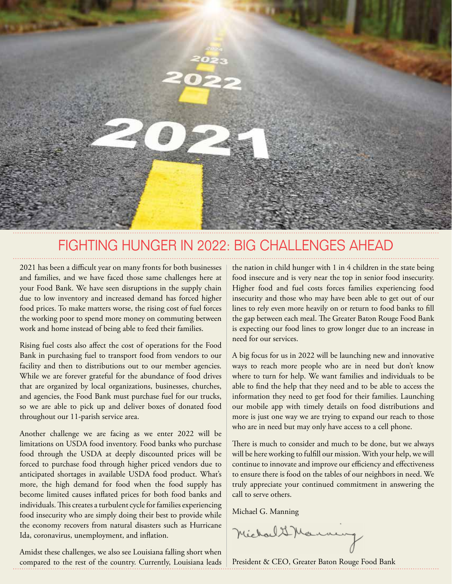

### FIGHTING HUNGER IN 2022: BIG CHALLENGES AHEAD

2021 has been a difficult year on many fronts for both businesses and families, and we have faced those same challenges here at your Food Bank. We have seen disruptions in the supply chain due to low inventory and increased demand has forced higher food prices. To make matters worse, the rising cost of fuel forces the working poor to spend more money on commuting between work and home instead of being able to feed their families.

Rising fuel costs also affect the cost of operations for the Food Bank in purchasing fuel to transport food from vendors to our facility and then to distributions out to our member agencies. While we are forever grateful for the abundance of food drives that are organized by local organizations, businesses, churches, and agencies, the Food Bank must purchase fuel for our trucks, so we are able to pick up and deliver boxes of donated food throughout our 11-parish service area.

Another challenge we are facing as we enter 2022 will be limitations on USDA food inventory. Food banks who purchase food through the USDA at deeply discounted prices will be forced to purchase food through higher priced vendors due to anticipated shortages in available USDA food product. What's more, the high demand for food when the food supply has become limited causes inflated prices for both food banks and individuals. This creates a turbulent cycle for families experiencing food insecurity who are simply doing their best to provide while the economy recovers from natural disasters such as Hurricane Ida, coronavirus, unemployment, and inflation.

Amidst these challenges, we also see Louisiana falling short when compared to the rest of the country. Currently, Louisiana leads the nation in child hunger with 1 in 4 children in the state being food insecure and is very near the top in senior food insecurity. Higher food and fuel costs forces families experiencing food insecurity and those who may have been able to get out of our lines to rely even more heavily on or return to food banks to fill the gap between each meal. The Greater Baton Rouge Food Bank is expecting our food lines to grow longer due to an increase in need for our services.

A big focus for us in 2022 will be launching new and innovative ways to reach more people who are in need but don't know where to turn for help. We want families and individuals to be able to find the help that they need and to be able to access the information they need to get food for their families. Launching our mobile app with timely details on food distributions and more is just one way we are trying to expand our reach to those who are in need but may only have access to a cell phone.

There is much to consider and much to be done, but we always will be here working to fulfill our mission. With your help, we will continue to innovate and improve our efficiency and effectiveness to ensure there is food on the tables of our neighbors in need. We truly appreciate your continued commitment in answering the call to serve others.

Michael G. Manning

Michael & Marnaug

President & CEO, Greater Baton Rouge Food Bank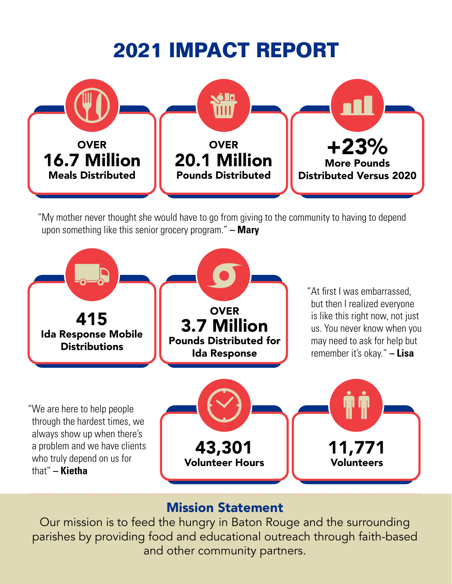# **2021 IMPACT REPORT**



"My mother never thought she would have to go from giving to the community to having to depend upon something like this senior grocery program." **– Mary**



#### Mission Statement

Our mission is to feed the hungry in Baton Rouge and the surrounding parishes by providing food and educational outreach through faith-based and other community partners.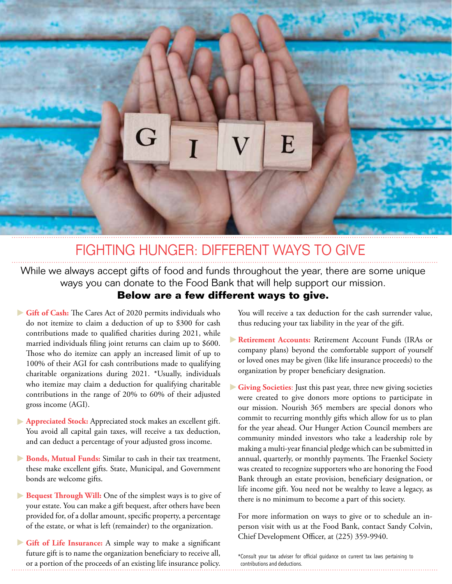

## FIGHTING HUNGER: DIFFERENT WAYS TO GIVE

While we always accept gifts of food and funds throughout the year, there are some unique ways you can donate to the Food Bank that will help support our mission. **Below are a few different ways to give.**

- Gift of Cash: The Cares Act of 2020 permits individuals who do not itemize to claim a deduction of up to \$300 for cash contributions made to qualified charities during 2021, while married individuals filing joint returns can claim up to \$600. Those who do itemize can apply an increased limit of up to 100% of their AGI for cash contributions made to qualifying charitable organizations during 2021. \*Usually, individuals who itemize may claim a deduction for qualifying charitable contributions in the range of 20% to 60% of their adjusted gross income (AGI).
- **Appreciated Stock:** Appreciated stock makes an excellent gift. You avoid all capital gain taxes, will receive a tax deduction, and can deduct a percentage of your adjusted gross income.
- **Bonds, Mutual Funds:** Similar to cash in their tax treatment, these make excellent gifts. State, Municipal, and Government bonds are welcome gifts.
- **Bequest Through Will:** One of the simplest ways is to give of your estate. You can make a gift bequest, after others have been provided for, of a dollar amount, specific property, a percentage of the estate, or what is left (remainder) to the organization.
- Gift of Life Insurance: A simple way to make a significant future gift is to name the organization beneficiary to receive all, or a portion of the proceeds of an existing life insurance policy.

You will receive a tax deduction for the cash surrender value, thus reducing your tax liability in the year of the gift.

- **Retirement Accounts:** Retirement Account Funds (IRAs or company plans) beyond the comfortable support of yourself or loved ones may be given (like life insurance proceeds) to the organization by proper beneficiary designation.
- Giving Societies: Just this past year, three new giving societies were created to give donors more options to participate in our mission. Nourish 365 members are special donors who commit to recurring monthly gifts which allow for us to plan for the year ahead. Our Hunger Action Council members are community minded investors who take a leadership role by making a multi-year financial pledge which can be submitted in annual, quarterly, or monthly payments. The Fraenkel Society was created to recognize supporters who are honoring the Food Bank through an estate provision, beneficiary designation, or life income gift. You need not be wealthy to leave a legacy, as there is no minimum to become a part of this society.

For more information on ways to give or to schedule an inperson visit with us at the Food Bank, contact Sandy Colvin, Chief Development Officer, at (225) 359-9940.

\*Consult your tax adviser for official guidance on current tax laws pertaining to contributions and deductions.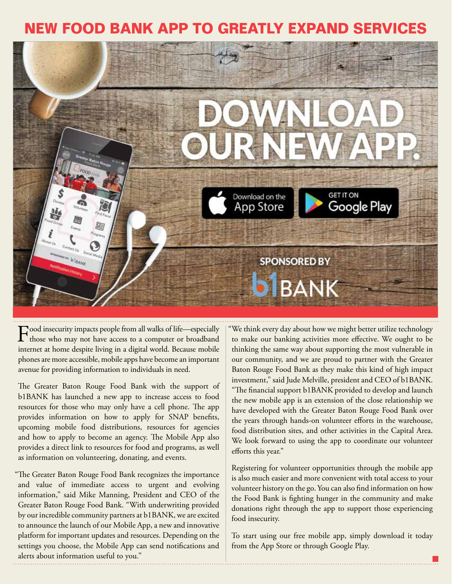### **FOOD BANK APP TO GREATLY EXPAND**



Food insecurity impacts people from all walks of life—especially<br>those who may not have access to a computer or broadband internet at home despite living in a digital world. Because mobile phones are more accessible, mobile apps have become an important avenue for providing information to individuals in need.

The Greater Baton Rouge Food Bank with the support of b1BANK has launched a new app to increase access to food resources for those who may only have a cell phone. The app provides information on how to apply for SNAP benefits, upcoming mobile food distributions, resources for agencies and how to apply to become an agency. The Mobile App also provides a direct link to resources for food and programs, as well as information on volunteering, donating, and events.

"The Greater Baton Rouge Food Bank recognizes the importance and value of immediate access to urgent and evolving information," said Mike Manning, President and CEO of the Greater Baton Rouge Food Bank. "With underwriting provided by our incredible community partners at b1BANK, we are excited to announce the launch of our Mobile App, a new and innovative platform for important updates and resources. Depending on the settings you choose, the Mobile App can send notifications and alerts about information useful to you."

"We think every day about how we might better utilize technology to make our banking activities more effective. We ought to be thinking the same way about supporting the most vulnerable in our community, and we are proud to partner with the Greater Baton Rouge Food Bank as they make this kind of high impact investment," said Jude Melville, president and CEO of b1BANK. "The financial support b1BANK provided to develop and launch the new mobile app is an extension of the close relationship we have developed with the Greater Baton Rouge Food Bank over the years through hands-on volunteer efforts in the warehouse, food distribution sites, and other activities in the Capital Area. We look forward to using the app to coordinate our volunteer efforts this year."

Registering for volunteer opportunities through the mobile app is also much easier and more convenient with total access to your volunteer history on the go. You can also find information on how the Food Bank is fighting hunger in the community and make donations right through the app to support those experiencing food insecurity.

To start using our free mobile app, simply download it today from the App Store or through Google Play.